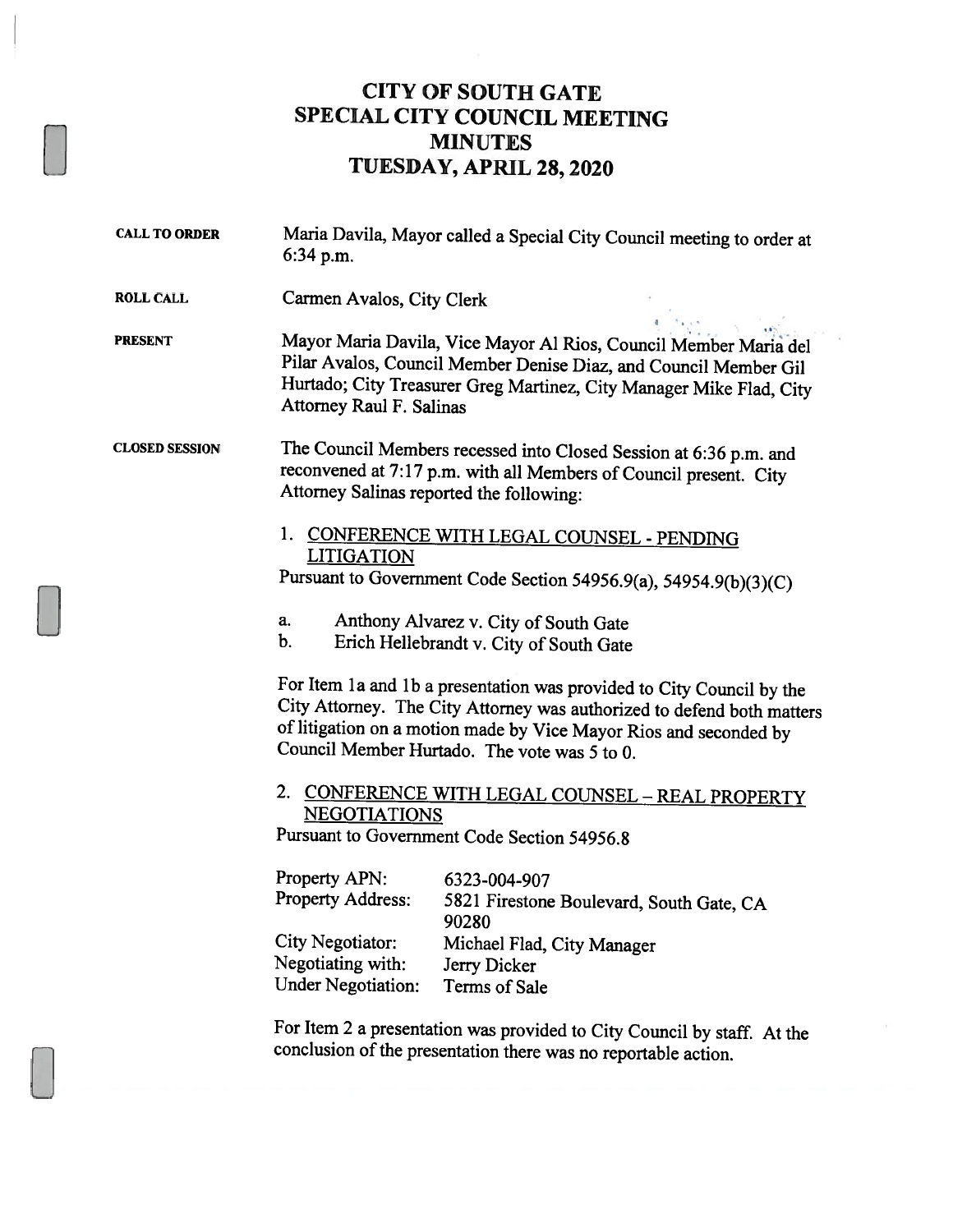## CITY OF SOUTH GATE SPECIAL CITY COUNCIL MEETING MINUTES TUESDAY, APRIL 28, 2020

CALL TO ORDER Maria Davila, Mayor called <sup>a</sup> Special City Council meeting to order at 6:34 p.m. ROLL CALL Carmen Avalos, City Clerk PRESENT Mayor Maria Davila, Vice Mayor Al Rios, Council Member Maria del Pilar Avalos, Council Member Denise Diaz, and Council Member Gil Hurtado; City Treasurer Greg Martinez, City Manager Mike Flad, City Attorney Raul F. Salinas CLOSED SESSION The Council Members recessed into Closed Session at 6:36 p.m. and reconvened at 7:17 p.m. with all Members of Council present. City Attorney Salinas reported the following: 1. CONFERENCE WITH LEGAL COUNSEL - PENDiNG LITIGATION Pursuant to Government Code Section 54956.9(a), 54954.9(b)(3)(C) a. Anthony Alvarez v. City of South Gate<br>b. Erich Hellehrandt v. City of South Gate b. Erich Hellebrandt v. City of South Gate For Item 1a and 1b a presentation was provided to City Council by the City Attorney. The City Attorney was authorized to defend both matters of litigation on <sup>a</sup> motion made by Vice Mayor Rios and seconded by Council Member Hurtado. The vote was 5 to 0. 2. CONFERENCE WITH LEGAL COUNSEL - REAL PROPERTY NEGOTIATIONS Pursuant to Government Code Section 54956.8 Property APN: 6323-004-907 Property Address: <sup>5821</sup> Firestone Boulevard, South Gate, CA 90280 City Negotiator: Michael Flad, City Manager Negotiating with: Jerry Dicker Under Negotiation: Terms of Sale For Item <sup>2</sup> <sup>a</sup> presentation was provided to City Council by staff. At the conclusion of the presentation there was no reportable action.